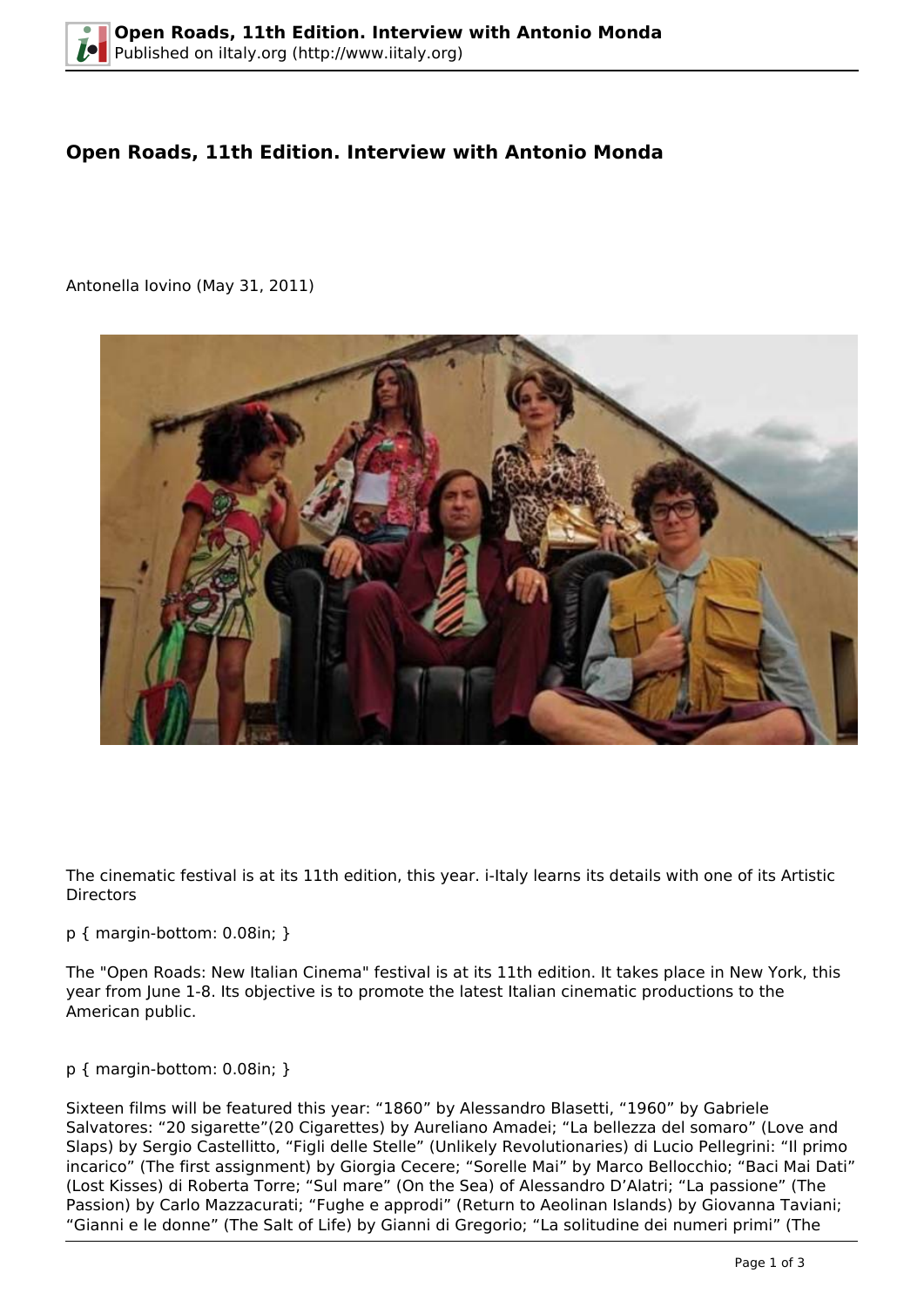# **Open Roads, 11th Edition. Interview with Antonio Monda**

Antonella Iovino (May 31, 2011)



The cinematic festival is at its 11th edition, this year. i-Italy learns its details with one of its Artistic **Directors** 

#### p { margin-bottom: 0.08in; }

The "Open Roads: New Italian Cinema" festival is at its 11th edition. It takes place in New York, this year from June 1-8. Its objective is to promote the latest Italian cinematic productions to the American public.

### p { margin-bottom: 0.08in; }

Sixteen films will be featured this year: "1860" by Alessandro Blasetti, "1960" by Gabriele Salvatores: "20 sigarette"(20 Cigarettes) by Aureliano Amadei; "La bellezza del somaro" (Love and Slaps) by Sergio Castellitto, "Figli delle Stelle" (Unlikely Revolutionaries) di Lucio Pellegrini: "Il primo incarico" (The first assignment) by Giorgia Cecere; "Sorelle Mai" by Marco Bellocchio; "Baci Mai Dati" (Lost Kisses) di Roberta Torre; "Sul mare" (On the Sea) of Alessandro D'Alatri; "La passione" (The Passion) by Carlo Mazzacurati; "Fughe e approdi" (Return to Aeolinan Islands) by Giovanna Taviani; "Gianni e le donne" (The Salt of Life) by Gianni di Gregorio; "La solitudine dei numeri primi" (The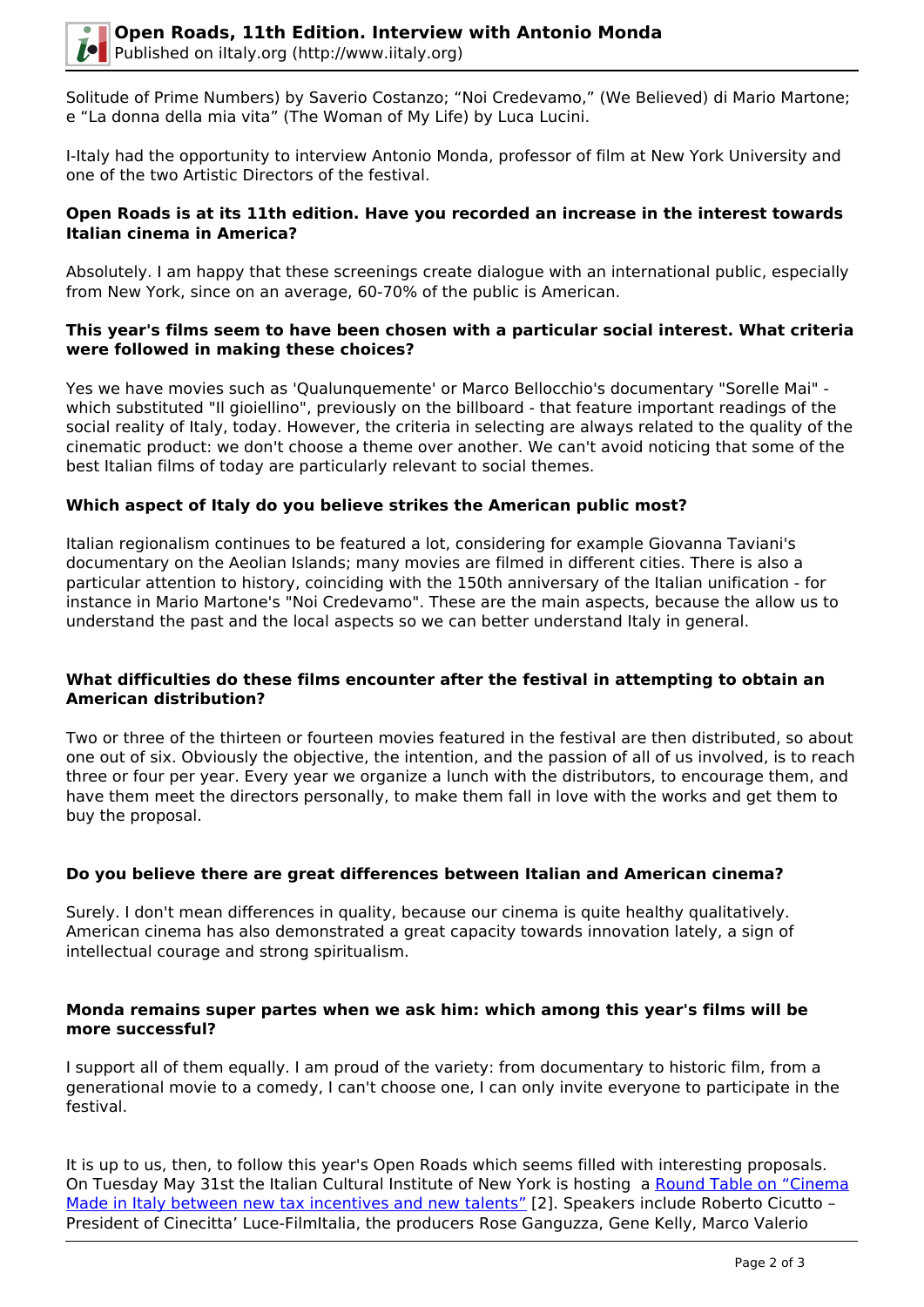Solitude of Prime Numbers) by Saverio Costanzo; "Noi Credevamo," (We Believed) di Mario Martone; e "La donna della mia vita" (The Woman of My Life) by Luca Lucini.

I-Italy had the opportunity to interview Antonio Monda, professor of film at New York University and one of the two Artistic Directors of the festival.

## **Open Roads is at its 11th edition. Have you recorded an increase in the interest towards Italian cinema in America?**

Absolutely. I am happy that these screenings create dialogue with an international public, especially from New York, since on an average, 60-70% of the public is American.

## **This year's films seem to have been chosen with a particular social interest. What criteria were followed in making these choices?**

Yes we have movies such as 'Qualunquemente' or Marco Bellocchio's documentary "Sorelle Mai" which substituted "Il gioiellino", previously on the billboard - that feature important readings of the social reality of Italy, today. However, the criteria in selecting are always related to the quality of the cinematic product: we don't choose a theme over another. We can't avoid noticing that some of the best Italian films of today are particularly relevant to social themes.

# **Which aspect of Italy do you believe strikes the American public most?**

Italian regionalism continues to be featured a lot, considering for example Giovanna Taviani's documentary on the Aeolian Islands; many movies are filmed in different cities. There is also a particular attention to history, coinciding with the 150th anniversary of the Italian unification - for instance in Mario Martone's "Noi Credevamo". These are the main aspects, because the allow us to understand the past and the local aspects so we can better understand Italy in general.

### **What difficulties do these films encounter after the festival in attempting to obtain an American distribution?**

Two or three of the thirteen or fourteen movies featured in the festival are then distributed, so about one out of six. Obviously the objective, the intention, and the passion of all of us involved, is to reach three or four per year. Every year we organize a lunch with the distributors, to encourage them, and have them meet the directors personally, to make them fall in love with the works and get them to buy the proposal.

# **Do you believe there are great differences between Italian and American cinema?**

Surely. I don't mean differences in quality, because our cinema is quite healthy qualitatively. American cinema has also demonstrated a great capacity towards innovation lately, a sign of intellectual courage and strong spiritualism.

### **Monda remains super partes when we ask him: which among this year's films will be more successful?**

I support all of them equally. I am proud of the variety: from documentary to historic film, from a generational movie to a comedy, I can't choose one, I can only invite everyone to participate in the festival.

It is up to us, then, to follow this year's Open Roads which seems filled with interesting proposals. On Tuesday May 31st the Italian Cultural Institute of New York is hosting a [Round Table on "Cinema](http://www.iicnewyork.esteri.it/IIC_NewYork/webform/SchedaEvento.aspx?id=527&citta=NewYork) [Made in Italy between new tax incentives and new talents"](http://www.iicnewyork.esteri.it/IIC_NewYork/webform/SchedaEvento.aspx?id=527&citta=NewYork) [2]. Speakers include Roberto Cicutto -President of Cinecitta' Luce-FilmItalia, the producers Rose Ganguzza, Gene Kelly, Marco Valerio